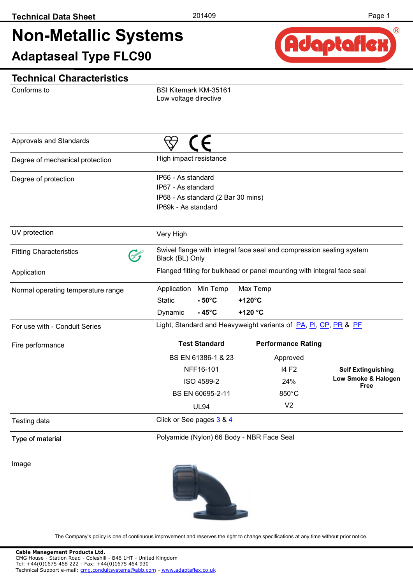# **Non-Metallic Systems**

**Adaptaseal Type FLC90**



#### **Technical Characteristics**

Conforms to

BSI Kitemark KM-35161 Low voltage directive

| Approvals and Standards            |                                                                                         |                                           |          |                                                                        |                             |  |  |
|------------------------------------|-----------------------------------------------------------------------------------------|-------------------------------------------|----------|------------------------------------------------------------------------|-----------------------------|--|--|
| Degree of mechanical protection    | High impact resistance                                                                  |                                           |          |                                                                        |                             |  |  |
| Degree of protection               | IP66 - As standard<br>IP67 - As standard                                                |                                           |          |                                                                        |                             |  |  |
|                                    | IP69k - As standard                                                                     | IP68 - As standard (2 Bar 30 mins)        |          |                                                                        |                             |  |  |
| UV protection                      | Very High                                                                               |                                           |          |                                                                        |                             |  |  |
| <b>Fitting Characteristics</b>     | Swivel flange with integral face seal and compression sealing system<br>Black (BL) Only |                                           |          |                                                                        |                             |  |  |
| Application                        |                                                                                         |                                           |          | Flanged fitting for bulkhead or panel mounting with integral face seal |                             |  |  |
| Normal operating temperature range | Application                                                                             | Min Temp                                  | Max Temp |                                                                        |                             |  |  |
|                                    | <b>Static</b>                                                                           | $-50^{\circ}$ C                           | +120°C   |                                                                        |                             |  |  |
|                                    | Dynamic                                                                                 | $-45^{\circ}$ C                           | +120 °C  |                                                                        |                             |  |  |
| For use with - Conduit Series      |                                                                                         |                                           |          | Light, Standard and Heavyweight variants of PA, PI, CP, PR & PF        |                             |  |  |
| Fire performance                   |                                                                                         | <b>Test Standard</b>                      |          | <b>Performance Rating</b>                                              |                             |  |  |
|                                    |                                                                                         | BS EN 61386-1 & 23                        |          | Approved                                                               |                             |  |  |
|                                    |                                                                                         | NFF16-101                                 |          | 14 F <sub>2</sub>                                                      | <b>Self Extinguishing</b>   |  |  |
|                                    |                                                                                         | ISO 4589-2                                |          | 24%                                                                    | Low Smoke & Halogen<br>Free |  |  |
|                                    |                                                                                         | BS EN 60695-2-11                          |          | 850°C                                                                  |                             |  |  |
|                                    |                                                                                         | <b>UL94</b>                               |          | V <sub>2</sub>                                                         |                             |  |  |
| Testing data                       |                                                                                         | Click or See pages 3 & 4                  |          |                                                                        |                             |  |  |
| Type of material                   |                                                                                         | Polyamide (Nylon) 66 Body - NBR Face Seal |          |                                                                        |                             |  |  |

Image

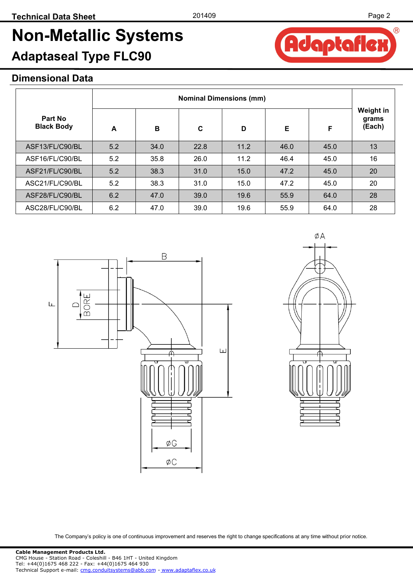## **Adaptaseal Type FLC90**

**BORE** 

 $\mathsf{L}$ 

#### **Dimensional Data**

|                              |     | <b>Nominal Dimensions (mm)</b> |      |      |      |      |                              |  |
|------------------------------|-----|--------------------------------|------|------|------|------|------------------------------|--|
| Part No<br><b>Black Body</b> | A   | B                              | C    | D    | Е    | F    | Weight in<br>grams<br>(Each) |  |
| ASF13/FL/C90/BL              | 5.2 | 34.0                           | 22.8 | 11.2 | 46.0 | 45.0 | 13                           |  |
| ASF16/FL/C90/BL              | 5.2 | 35.8                           | 26.0 | 11.2 | 46.4 | 45.0 | 16                           |  |
| ASF21/FL/C90/BL              | 5.2 | 38.3                           | 31.0 | 15.0 | 47.2 | 45.0 | 20                           |  |
| ASC21/FL/C90/BL              | 5.2 | 38.3                           | 31.0 | 15.0 | 47.2 | 45.0 | 20                           |  |
| ASF28/FL/C90/BL              | 6.2 | 47.0                           | 39.0 | 19.6 | 55.9 | 64.0 | 28                           |  |
| ASC28/FL/C90/BL              | 6.2 | 47.0                           | 39.0 | 19.6 | 55.9 | 64.0 | 28                           |  |

B



ØA

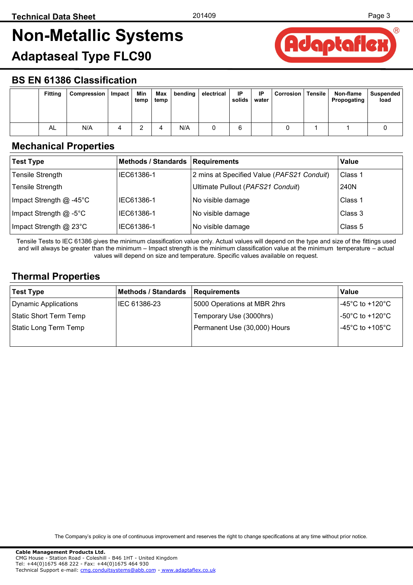Adaptaflex

## <span id="page-2-0"></span>**Non-Metallic Systems**

### **Adaptaseal Type FLC90**

#### **BS EN 61386 Classification**

| <b>Fitting</b> | Compression | Impact | Min<br>temp | Max<br>temp |     | bending electrical | IP<br>solids | -IP<br>water | Corrosion | Tensile | Non-flame<br>Propogating | Suspended<br>load |
|----------------|-------------|--------|-------------|-------------|-----|--------------------|--------------|--------------|-----------|---------|--------------------------|-------------------|
| AL             | N/A         |        |             | 4           | N/A |                    | ь            |              |           |         |                          |                   |

#### **Mechanical Properties**

| <b>Test Type</b>          | <b>Methods / Standards</b> | <b>Requirements</b>                        | Value   |
|---------------------------|----------------------------|--------------------------------------------|---------|
| <b>Tensile Strength</b>   | IEC61386-1                 | 2 mins at Specified Value (PAFS21 Conduit) | Class 1 |
| <b>Tensile Strength</b>   |                            | Ultimate Pullout (PAFS21 Conduit)          | 240N    |
| Impact Strength $@$ -45°C | IEC61386-1                 | No visible damage                          | Class 1 |
| Impact Strength $@$ -5°C  | IEC61386-1                 | No visible damage                          | Class 3 |
| Impact Strength @ 23°C    | IEC61386-1                 | No visible damage                          | Class 5 |

Tensile Tests to IEC 61386 gives the minimum classification value only. Actual values will depend on the type and size of the fittings used and will always be greater than the minimum – Impact strength is the minimum classification value at the minimum temperature – actual values will depend on size and temperature. Specific values available on request.

#### **Thermal Properties**

| Test Type              | <b>Methods / Standards</b> | Requirements                 | <b>Value</b>                          |
|------------------------|----------------------------|------------------------------|---------------------------------------|
| Dynamic Applications   | IEC 61386-23               | 5000 Operations at MBR 2hrs  | -45°C to +120°C $\,$                  |
| Static Short Term Temp |                            | Temporary Use (3000hrs)      | -50 $^{\circ}$ C to +120 $^{\circ}$ C |
| Static Long Term Temp  |                            | Permanent Use (30,000) Hours | -45°C to +105°C                       |
|                        |                            |                              |                                       |